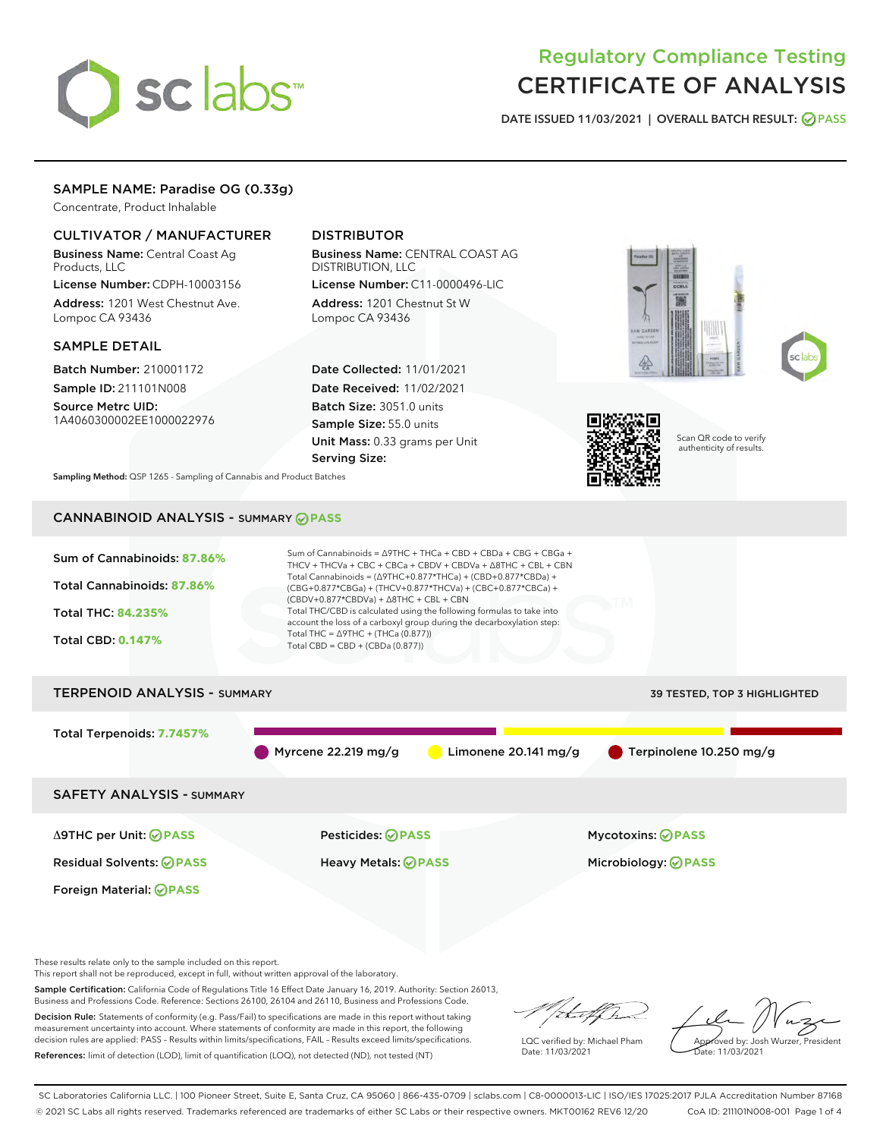# sclabs

# Regulatory Compliance Testing CERTIFICATE OF ANALYSIS

DATE ISSUED 11/03/2021 | OVERALL BATCH RESULT: @ PASS

# SAMPLE NAME: Paradise OG (0.33g)

Concentrate, Product Inhalable

# CULTIVATOR / MANUFACTURER

Business Name: Central Coast Ag Products, LLC

License Number: CDPH-10003156 Address: 1201 West Chestnut Ave. Lompoc CA 93436

#### SAMPLE DETAIL

Batch Number: 210001172 Sample ID: 211101N008

Source Metrc UID: 1A4060300002EE1000022976

# DISTRIBUTOR

Business Name: CENTRAL COAST AG DISTRIBUTION, LLC License Number: C11-0000496-LIC

Address: 1201 Chestnut St W Lompoc CA 93436

Date Collected: 11/01/2021 Date Received: 11/02/2021 Batch Size: 3051.0 units Sample Size: 55.0 units Unit Mass: 0.33 grams per Unit Serving Size:







Scan QR code to verify authenticity of results.

Sampling Method: QSP 1265 - Sampling of Cannabis and Product Batches

# CANNABINOID ANALYSIS - SUMMARY **PASS**



This report shall not be reproduced, except in full, without written approval of the laboratory.

Sample Certification: California Code of Regulations Title 16 Effect Date January 16, 2019. Authority: Section 26013, Business and Professions Code. Reference: Sections 26100, 26104 and 26110, Business and Professions Code.

Decision Rule: Statements of conformity (e.g. Pass/Fail) to specifications are made in this report without taking measurement uncertainty into account. Where statements of conformity are made in this report, the following decision rules are applied: PASS – Results within limits/specifications, FAIL – Results exceed limits/specifications. References: limit of detection (LOD), limit of quantification (LOQ), not detected (ND), not tested (NT)

that for

LQC verified by: Michael Pham Date: 11/03/2021

Approved by: Josh Wurzer, President Date: 11/03/2021

SC Laboratories California LLC. | 100 Pioneer Street, Suite E, Santa Cruz, CA 95060 | 866-435-0709 | sclabs.com | C8-0000013-LIC | ISO/IES 17025:2017 PJLA Accreditation Number 87168 © 2021 SC Labs all rights reserved. Trademarks referenced are trademarks of either SC Labs or their respective owners. MKT00162 REV6 12/20 CoA ID: 211101N008-001 Page 1 of 4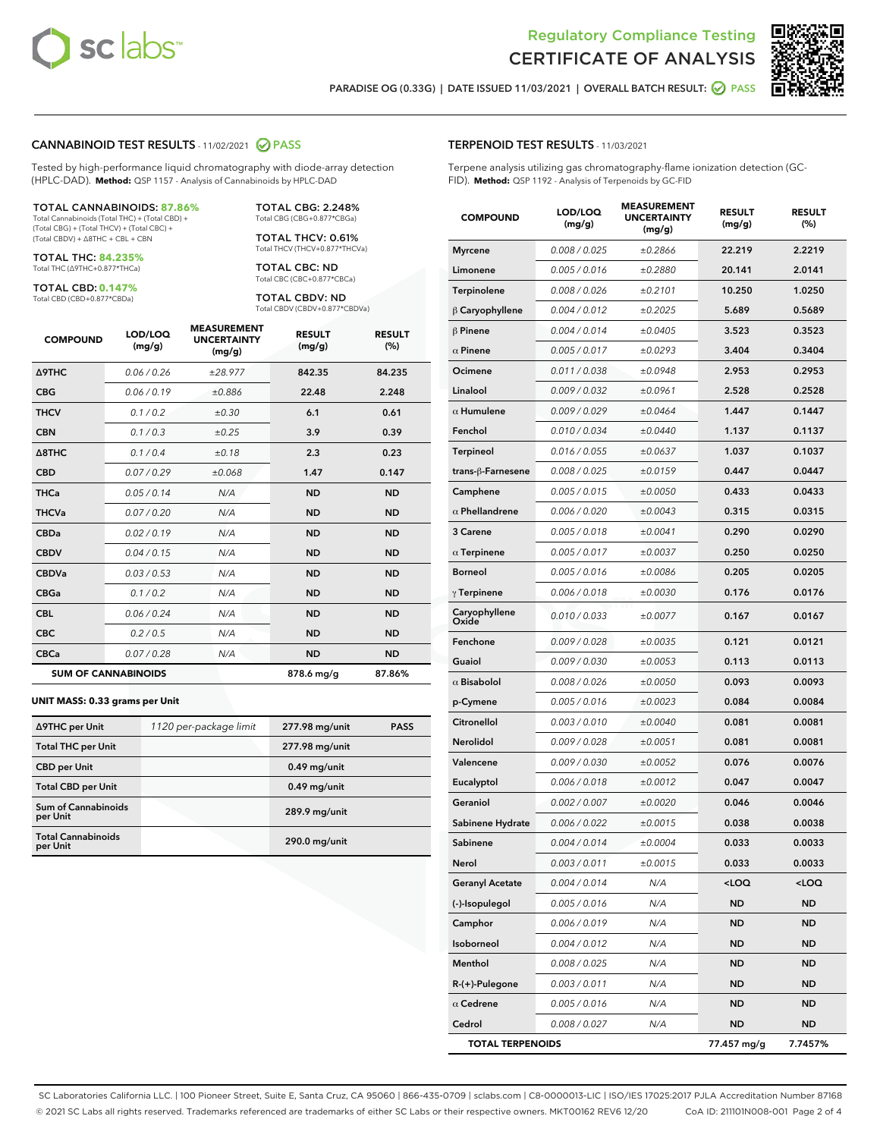



PARADISE OG (0.33G) | DATE ISSUED 11/03/2021 | OVERALL BATCH RESULT:  $\bigcirc$  PASS

#### CANNABINOID TEST RESULTS - 11/02/2021 2 PASS

Tested by high-performance liquid chromatography with diode-array detection (HPLC-DAD). **Method:** QSP 1157 - Analysis of Cannabinoids by HPLC-DAD

#### TOTAL CANNABINOIDS: **87.86%**

Total Cannabinoids (Total THC) + (Total CBD) + (Total CBG) + (Total THCV) + (Total CBC) + (Total CBDV) + ∆8THC + CBL + CBN

TOTAL THC: **84.235%** Total THC (∆9THC+0.877\*THCa)

TOTAL CBD: **0.147%**

Total CBD (CBD+0.877\*CBDa)

TOTAL CBG: 2.248% Total CBG (CBG+0.877\*CBGa)

TOTAL THCV: 0.61% Total THCV (THCV+0.877\*THCVa)

TOTAL CBC: ND Total CBC (CBC+0.877\*CBCa)

TOTAL CBDV: ND Total CBDV (CBDV+0.877\*CBDVa)

| <b>COMPOUND</b>  | LOD/LOQ<br>(mg/g)          | <b>MEASUREMENT</b><br><b>UNCERTAINTY</b><br>(mg/g) | <b>RESULT</b><br>(mg/g) | <b>RESULT</b><br>(%) |
|------------------|----------------------------|----------------------------------------------------|-------------------------|----------------------|
| Δ9THC            | 0.06/0.26                  | ±28.977                                            | 842.35                  | 84.235               |
| <b>CBG</b>       | 0.06/0.19                  | ±0.886                                             | 22.48                   | 2.248                |
| <b>THCV</b>      | 0.1/0.2                    | ±0.30                                              | 6.1                     | 0.61                 |
| <b>CBN</b>       | 0.1/0.3                    | ±0.25                                              | 3.9                     | 0.39                 |
| $\triangle$ 8THC | 0.1/0.4                    | ±0.18                                              | 2.3                     | 0.23                 |
| <b>CBD</b>       | 0.07/0.29                  | ±0.068                                             | 1.47                    | 0.147                |
| <b>THCa</b>      | 0.05/0.14                  | N/A                                                | <b>ND</b>               | <b>ND</b>            |
| <b>THCVa</b>     | 0.07 / 0.20                | N/A                                                | <b>ND</b>               | <b>ND</b>            |
| <b>CBDa</b>      | 0.02/0.19                  | N/A                                                | <b>ND</b>               | <b>ND</b>            |
| <b>CBDV</b>      | 0.04 / 0.15                | N/A                                                | <b>ND</b>               | <b>ND</b>            |
| <b>CBDVa</b>     | 0.03/0.53                  | N/A                                                | <b>ND</b>               | <b>ND</b>            |
| <b>CBGa</b>      | 0.1/0.2                    | N/A                                                | <b>ND</b>               | <b>ND</b>            |
| <b>CBL</b>       | 0.06 / 0.24                | N/A                                                | <b>ND</b>               | <b>ND</b>            |
| <b>CBC</b>       | 0.2 / 0.5                  | N/A                                                | <b>ND</b>               | <b>ND</b>            |
| <b>CBCa</b>      | 0.07 / 0.28                | N/A                                                | <b>ND</b>               | <b>ND</b>            |
|                  | <b>SUM OF CANNABINOIDS</b> |                                                    | 878.6 mg/g              | 87.86%               |

#### **UNIT MASS: 0.33 grams per Unit**

| ∆9THC per Unit                         | 1120 per-package limit | 277.98 mg/unit  | <b>PASS</b> |
|----------------------------------------|------------------------|-----------------|-------------|
| <b>Total THC per Unit</b>              |                        | 277.98 mg/unit  |             |
| <b>CBD per Unit</b>                    |                        | $0.49$ mg/unit  |             |
| <b>Total CBD per Unit</b>              |                        | $0.49$ mg/unit  |             |
| <b>Sum of Cannabinoids</b><br>per Unit |                        | 289.9 mg/unit   |             |
| <b>Total Cannabinoids</b><br>per Unit  |                        | $290.0$ mg/unit |             |

# TERPENOID TEST RESULTS - 11/03/2021

Terpene analysis utilizing gas chromatography-flame ionization detection (GC-FID). **Method:** QSP 1192 - Analysis of Terpenoids by GC-FID

| <b>COMPOUND</b>         | LOD/LOQ<br>(mg/g) | <b>MEASUREMENT</b><br><b>UNCERTAINTY</b><br>(mg/g) | <b>RESULT</b><br>(mg/g)                         | <b>RESULT</b><br>(%) |
|-------------------------|-------------------|----------------------------------------------------|-------------------------------------------------|----------------------|
| Myrcene                 | 0.008 / 0.025     | ±0.2866                                            | 22.219                                          | 2.2219               |
| Limonene                | 0.005 / 0.016     | ±0.2880                                            | 20.141                                          | 2.0141               |
| Terpinolene             | 0.008 / 0.026     | ±0.2101                                            | 10.250                                          | 1.0250               |
| $\upbeta$ Caryophyllene | 0.004 / 0.012     | ±0.2025                                            | 5.689                                           | 0.5689               |
| $\beta$ Pinene          | 0.004 / 0.014     | ±0.0405                                            | 3.523                                           | 0.3523               |
| $\alpha$ Pinene         | 0.005 / 0.017     | ±0.0293                                            | 3.404                                           | 0.3404               |
| Ocimene                 | 0.011 / 0.038     | ±0.0948                                            | 2.953                                           | 0.2953               |
| Linalool                | 0.009 / 0.032     | ±0.0961                                            | 2.528                                           | 0.2528               |
| $\alpha$ Humulene       | 0.009/0.029       | ±0.0464                                            | 1.447                                           | 0.1447               |
| Fenchol                 | 0.010 / 0.034     | ±0.0440                                            | 1.137                                           | 0.1137               |
| Terpineol               | 0.016 / 0.055     | ±0.0637                                            | 1.037                                           | 0.1037               |
| trans-ß-Farnesene       | 0.008 / 0.025     | ±0.0159                                            | 0.447                                           | 0.0447               |
| Camphene                | 0.005 / 0.015     | ±0.0050                                            | 0.433                                           | 0.0433               |
| $\alpha$ Phellandrene   | 0.006 / 0.020     | ±0.0043                                            | 0.315                                           | 0.0315               |
| 3 Carene                | 0.005 / 0.018     | ±0.0041                                            | 0.290                                           | 0.0290               |
| $\alpha$ Terpinene      | 0.005 / 0.017     | ±0.0037                                            | 0.250                                           | 0.0250               |
| Borneol                 | 0.005 / 0.016     | ±0.0086                                            | 0.205                                           | 0.0205               |
| $\gamma$ Terpinene      | 0.006 / 0.018     | ±0.0030                                            | 0.176                                           | 0.0176               |
| Caryophyllene<br>Oxide  | 0.010 / 0.033     | ±0.0077                                            | 0.167                                           | 0.0167               |
| Fenchone                | 0.009 / 0.028     | ±0.0035                                            | 0.121                                           | 0.0121               |
| Guaiol                  | 0.009 / 0.030     | ±0.0053                                            | 0.113                                           | 0.0113               |
| $\alpha$ Bisabolol      | 0.008 / 0.026     | ±0.0050                                            | 0.093                                           | 0.0093               |
| p-Cymene                | 0.005 / 0.016     | ±0.0023                                            | 0.084                                           | 0.0084               |
| Citronellol             | 0.003 / 0.010     | ±0.0040                                            | 0.081                                           | 0.0081               |
| Nerolidol               | 0.009 / 0.028     | ±0.0051                                            | 0.081                                           | 0.0081               |
| Valencene               | 0.009 / 0.030     | ±0.0052                                            | 0.076                                           | 0.0076               |
| Eucalyptol              | 0.006 / 0.018     | ±0.0012                                            | 0.047                                           | 0.0047               |
| Geraniol                | 0.002 / 0.007     | ±0.0020                                            | 0.046                                           | 0.0046               |
| Sabinene Hydrate        | 0.006 / 0.022     | ±0.0015                                            | 0.038                                           | 0.0038               |
| Sabinene                | 0.004 / 0.014     | ±0.0004                                            | 0.033                                           | 0.0033               |
| Nerol                   | 0.003 / 0.011     | ±0.0015                                            | 0.033                                           | 0.0033               |
| <b>Geranyl Acetate</b>  | 0.004 / 0.014     | N/A                                                | <loq< th=""><th><loq< th=""></loq<></th></loq<> | <loq< th=""></loq<>  |
| (-)-Isopulegol          | 0.005 / 0.016     | N/A                                                | <b>ND</b>                                       | ND                   |
| Camphor                 | 0.006 / 0.019     | N/A                                                | ND                                              | ND                   |
| Isoborneol              | 0.004 / 0.012     | N/A                                                | ND                                              | ND                   |
| Menthol                 | 0.008 / 0.025     | N/A                                                | ND                                              | ND                   |
| R-(+)-Pulegone          | 0.003 / 0.011     | N/A                                                | ND                                              | ND                   |
| $\alpha$ Cedrene        | 0.005 / 0.016     | N/A                                                | ND                                              | ND                   |
| Cedrol                  | 0.008 / 0.027     | N/A                                                | ND                                              | ND                   |
| <b>TOTAL TERPENOIDS</b> |                   |                                                    | 77.457 mg/g                                     | 7.7457%              |

SC Laboratories California LLC. | 100 Pioneer Street, Suite E, Santa Cruz, CA 95060 | 866-435-0709 | sclabs.com | C8-0000013-LIC | ISO/IES 17025:2017 PJLA Accreditation Number 87168 © 2021 SC Labs all rights reserved. Trademarks referenced are trademarks of either SC Labs or their respective owners. MKT00162 REV6 12/20 CoA ID: 211101N008-001 Page 2 of 4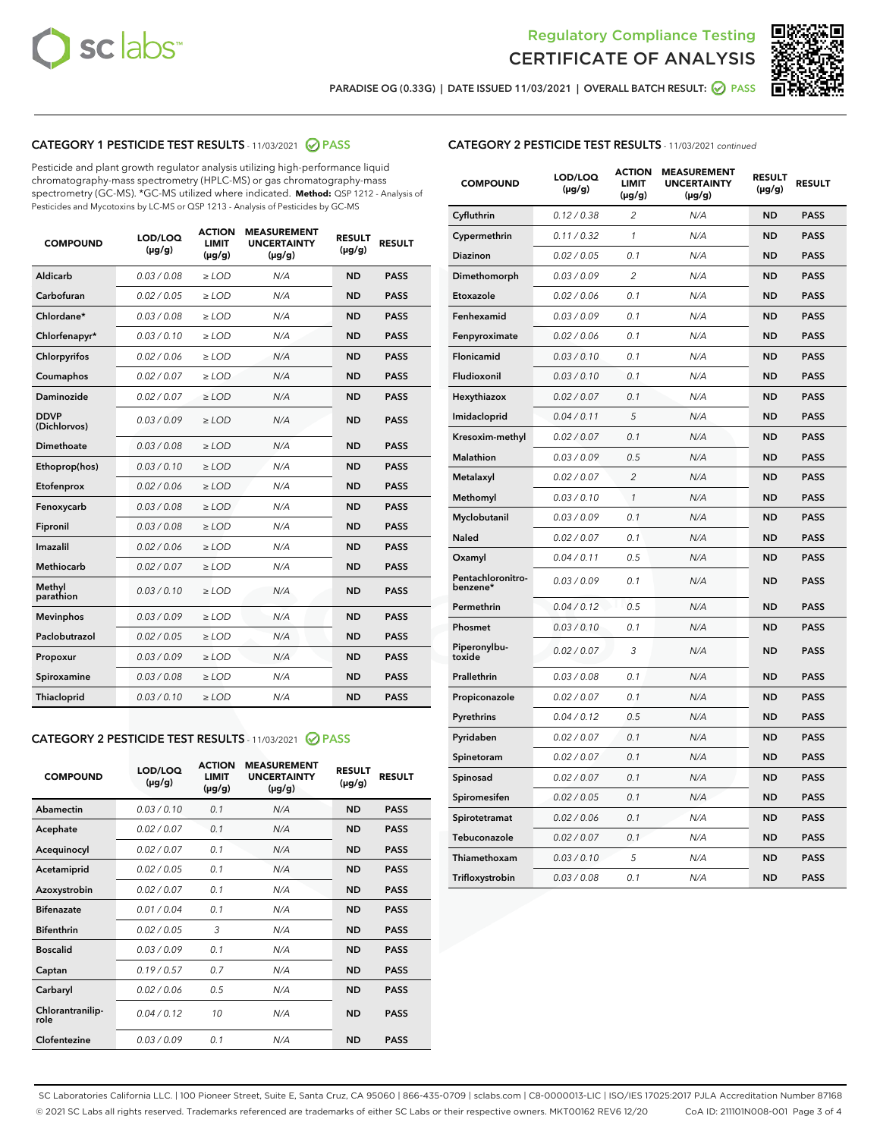



PARADISE OG (0.33G) | DATE ISSUED 11/03/2021 | OVERALL BATCH RESULT:  $\bigcirc$  PASS

# CATEGORY 1 PESTICIDE TEST RESULTS - 11/03/2021 2 PASS

Pesticide and plant growth regulator analysis utilizing high-performance liquid chromatography-mass spectrometry (HPLC-MS) or gas chromatography-mass spectrometry (GC-MS). \*GC-MS utilized where indicated. **Method:** QSP 1212 - Analysis of Pesticides and Mycotoxins by LC-MS or QSP 1213 - Analysis of Pesticides by GC-MS

| <b>COMPOUND</b>             | LOD/LOQ<br>$(\mu g/g)$ | <b>ACTION</b><br><b>LIMIT</b><br>$(\mu g/g)$ | <b>MEASUREMENT</b><br><b>UNCERTAINTY</b><br>$(\mu g/g)$ | <b>RESULT</b><br>$(\mu g/g)$ | <b>RESULT</b> |
|-----------------------------|------------------------|----------------------------------------------|---------------------------------------------------------|------------------------------|---------------|
| Aldicarb                    | 0.03 / 0.08            | $\ge$ LOD                                    | N/A                                                     | <b>ND</b>                    | <b>PASS</b>   |
| Carbofuran                  | 0.02/0.05              | $>$ LOD                                      | N/A                                                     | <b>ND</b>                    | <b>PASS</b>   |
| Chlordane*                  | 0.03 / 0.08            | $\ge$ LOD                                    | N/A                                                     | <b>ND</b>                    | <b>PASS</b>   |
| Chlorfenapyr*               | 0.03/0.10              | $\ge$ LOD                                    | N/A                                                     | <b>ND</b>                    | <b>PASS</b>   |
| Chlorpyrifos                | 0.02 / 0.06            | $\ge$ LOD                                    | N/A                                                     | <b>ND</b>                    | <b>PASS</b>   |
| Coumaphos                   | 0.02 / 0.07            | $>$ LOD                                      | N/A                                                     | <b>ND</b>                    | <b>PASS</b>   |
| Daminozide                  | 0.02 / 0.07            | $\ge$ LOD                                    | N/A                                                     | <b>ND</b>                    | <b>PASS</b>   |
| <b>DDVP</b><br>(Dichlorvos) | 0.03/0.09              | $\ge$ LOD                                    | N/A                                                     | <b>ND</b>                    | <b>PASS</b>   |
| <b>Dimethoate</b>           | 0.03/0.08              | $\ge$ LOD                                    | N/A                                                     | <b>ND</b>                    | <b>PASS</b>   |
| Ethoprop(hos)               | 0.03/0.10              | $\ge$ LOD                                    | N/A                                                     | <b>ND</b>                    | <b>PASS</b>   |
| Etofenprox                  | 0.02/0.06              | $>$ LOD                                      | N/A                                                     | <b>ND</b>                    | <b>PASS</b>   |
| Fenoxycarb                  | 0.03 / 0.08            | $\ge$ LOD                                    | N/A                                                     | <b>ND</b>                    | <b>PASS</b>   |
| Fipronil                    | 0.03 / 0.08            | $>$ LOD                                      | N/A                                                     | <b>ND</b>                    | <b>PASS</b>   |
| Imazalil                    | 0.02 / 0.06            | $\ge$ LOD                                    | N/A                                                     | <b>ND</b>                    | <b>PASS</b>   |
| Methiocarb                  | 0.02 / 0.07            | $\ge$ LOD                                    | N/A                                                     | <b>ND</b>                    | <b>PASS</b>   |
| Methyl<br>parathion         | 0.03/0.10              | $\ge$ LOD                                    | N/A                                                     | <b>ND</b>                    | <b>PASS</b>   |
| <b>Mevinphos</b>            | 0.03/0.09              | $>$ LOD                                      | N/A                                                     | <b>ND</b>                    | <b>PASS</b>   |
| Paclobutrazol               | 0.02 / 0.05            | $\ge$ LOD                                    | N/A                                                     | <b>ND</b>                    | <b>PASS</b>   |
| Propoxur                    | 0.03 / 0.09            | $\ge$ LOD                                    | N/A                                                     | <b>ND</b>                    | <b>PASS</b>   |
| Spiroxamine                 | 0.03 / 0.08            | $\ge$ LOD                                    | N/A                                                     | <b>ND</b>                    | <b>PASS</b>   |
| <b>Thiacloprid</b>          | 0.03/0.10              | $\ge$ LOD                                    | N/A                                                     | <b>ND</b>                    | <b>PASS</b>   |

#### CATEGORY 2 PESTICIDE TEST RESULTS - 11/03/2021 @ PASS

| <b>COMPOUND</b>          | LOD/LOO<br>$(\mu g/g)$ | <b>ACTION</b><br>LIMIT<br>$(\mu g/g)$ | <b>MEASUREMENT</b><br><b>UNCERTAINTY</b><br>$(\mu g/g)$ | <b>RESULT</b><br>$(\mu g/g)$ | <b>RESULT</b> |
|--------------------------|------------------------|---------------------------------------|---------------------------------------------------------|------------------------------|---------------|
| Abamectin                | 0.03/0.10              | 0.1                                   | N/A                                                     | <b>ND</b>                    | <b>PASS</b>   |
| Acephate                 | 0.02/0.07              | 0.1                                   | N/A                                                     | <b>ND</b>                    | <b>PASS</b>   |
| Acequinocyl              | 0.02/0.07              | 0.1                                   | N/A                                                     | <b>ND</b>                    | <b>PASS</b>   |
| Acetamiprid              | 0.02/0.05              | 0.1                                   | N/A                                                     | <b>ND</b>                    | <b>PASS</b>   |
| Azoxystrobin             | 0.02/0.07              | 0.1                                   | N/A                                                     | <b>ND</b>                    | <b>PASS</b>   |
| <b>Bifenazate</b>        | 0.01/0.04              | 0.1                                   | N/A                                                     | <b>ND</b>                    | <b>PASS</b>   |
| <b>Bifenthrin</b>        | 0.02 / 0.05            | 3                                     | N/A                                                     | <b>ND</b>                    | <b>PASS</b>   |
| <b>Boscalid</b>          | 0.03/0.09              | 0.1                                   | N/A                                                     | <b>ND</b>                    | <b>PASS</b>   |
| Captan                   | 0.19/0.57              | 0.7                                   | N/A                                                     | <b>ND</b>                    | <b>PASS</b>   |
| Carbaryl                 | 0.02/0.06              | 0.5                                   | N/A                                                     | <b>ND</b>                    | <b>PASS</b>   |
| Chlorantranilip-<br>role | 0.04/0.12              | 10                                    | N/A                                                     | <b>ND</b>                    | <b>PASS</b>   |
| Clofentezine             | 0.03/0.09              | 0.1                                   | N/A                                                     | <b>ND</b>                    | <b>PASS</b>   |

#### CATEGORY 2 PESTICIDE TEST RESULTS - 11/03/2021 continued

| <b>COMPOUND</b>               | LOD/LOQ<br>(µg/g) | <b>ACTION</b><br><b>LIMIT</b><br>(µg/g) | <b>MEASUREMENT</b><br><b>UNCERTAINTY</b><br>(µg/g) | <b>RESULT</b><br>(µg/g) | <b>RESULT</b> |
|-------------------------------|-------------------|-----------------------------------------|----------------------------------------------------|-------------------------|---------------|
| Cyfluthrin                    | 0.12 / 0.38       | $\overline{c}$                          | N/A                                                | <b>ND</b>               | <b>PASS</b>   |
| Cypermethrin                  | 0.11 / 0.32       | 1                                       | N/A                                                | <b>ND</b>               | <b>PASS</b>   |
| Diazinon                      | 0.02 / 0.05       | 0.1                                     | N/A                                                | <b>ND</b>               | <b>PASS</b>   |
| Dimethomorph                  | 0.03 / 0.09       | $\overline{2}$                          | N/A                                                | <b>ND</b>               | <b>PASS</b>   |
| Etoxazole                     | 0.02 / 0.06       | 0.1                                     | N/A                                                | <b>ND</b>               | <b>PASS</b>   |
| Fenhexamid                    | 0.03 / 0.09       | 0.1                                     | N/A                                                | ND                      | <b>PASS</b>   |
| Fenpyroximate                 | 0.02 / 0.06       | 0.1                                     | N/A                                                | ND                      | <b>PASS</b>   |
| Flonicamid                    | 0.03 / 0.10       | 0.1                                     | N/A                                                | ND                      | <b>PASS</b>   |
| Fludioxonil                   | 0.03 / 0.10       | 0.1                                     | N/A                                                | ND                      | <b>PASS</b>   |
| Hexythiazox                   | 0.02 / 0.07       | 0.1                                     | N/A                                                | <b>ND</b>               | <b>PASS</b>   |
| Imidacloprid                  | 0.04 / 0.11       | 5                                       | N/A                                                | <b>ND</b>               | <b>PASS</b>   |
| Kresoxim-methyl               | 0.02 / 0.07       | 0.1                                     | N/A                                                | ND                      | <b>PASS</b>   |
| Malathion                     | 0.03 / 0.09       | 0.5                                     | N/A                                                | <b>ND</b>               | <b>PASS</b>   |
| Metalaxyl                     | 0.02 / 0.07       | $\overline{c}$                          | N/A                                                | <b>ND</b>               | <b>PASS</b>   |
| Methomyl                      | 0.03 / 0.10       | $\mathbf{1}$                            | N/A                                                | <b>ND</b>               | <b>PASS</b>   |
| Myclobutanil                  | 0.03 / 0.09       | 0.1                                     | N/A                                                | ND                      | <b>PASS</b>   |
| Naled                         | 0.02 / 0.07       | 0.1                                     | N/A                                                | ND                      | <b>PASS</b>   |
| Oxamyl                        | 0.04 / 0.11       | 0.5                                     | N/A                                                | <b>ND</b>               | <b>PASS</b>   |
| Pentachloronitro-<br>benzene* | 0.03/0.09         | 0.1                                     | N/A                                                | ND                      | <b>PASS</b>   |
| Permethrin                    | 0.04 / 0.12       | 0.5                                     | N/A                                                | ND                      | <b>PASS</b>   |
| Phosmet                       | 0.03 / 0.10       | 0.1                                     | N/A                                                | <b>ND</b>               | <b>PASS</b>   |
| Piperonylbu-<br>toxide        | 0.02 / 0.07       | 3                                       | N/A                                                | ND                      | <b>PASS</b>   |
| Prallethrin                   | 0.03 / 0.08       | 0.1                                     | N/A                                                | ND                      | <b>PASS</b>   |
| Propiconazole                 | 0.02 / 0.07       | 0.1                                     | N/A                                                | ND                      | <b>PASS</b>   |
| Pyrethrins                    | 0.04 / 0.12       | 0.5                                     | N/A                                                | ND                      | <b>PASS</b>   |
| Pyridaben                     | 0.02 / 0.07       | 0.1                                     | N/A                                                | ND                      | <b>PASS</b>   |
| Spinetoram                    | 0.02 / 0.07       | 0.1                                     | N/A                                                | ND                      | <b>PASS</b>   |
| Spinosad                      | 0.02 / 0.07       | 0.1                                     | N/A                                                | <b>ND</b>               | <b>PASS</b>   |
| Spiromesifen                  | 0.02 / 0.05       | 0.1                                     | N/A                                                | ND                      | <b>PASS</b>   |
| Spirotetramat                 | 0.02 / 0.06       | 0.1                                     | N/A                                                | ND                      | <b>PASS</b>   |
| Tebuconazole                  | 0.02 / 0.07       | 0.1                                     | N/A                                                | ND                      | <b>PASS</b>   |
| Thiamethoxam                  | 0.03 / 0.10       | 5                                       | N/A                                                | ND                      | <b>PASS</b>   |
| Trifloxystrobin               | 0.03 / 0.08       | 0.1                                     | N/A                                                | <b>ND</b>               | <b>PASS</b>   |

SC Laboratories California LLC. | 100 Pioneer Street, Suite E, Santa Cruz, CA 95060 | 866-435-0709 | sclabs.com | C8-0000013-LIC | ISO/IES 17025:2017 PJLA Accreditation Number 87168 © 2021 SC Labs all rights reserved. Trademarks referenced are trademarks of either SC Labs or their respective owners. MKT00162 REV6 12/20 CoA ID: 211101N008-001 Page 3 of 4